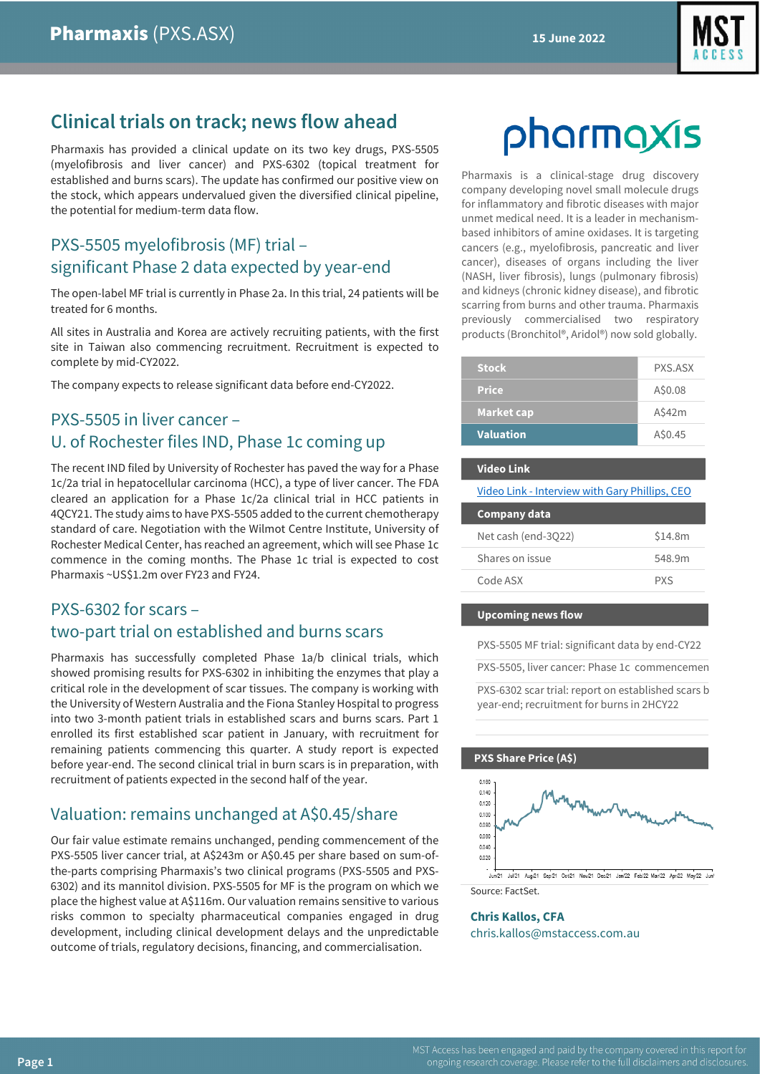

# **Clinical trials on track; news flow ahead**

Pharmaxis has provided a clinical update on its two key drugs, PXS-5505 (myelofibrosis and liver cancer) and PXS-6302 (topical treatment for established and burns scars). The update has confirmed our positive view on the stock, which appears undervalued given the diversified clinical pipeline, the potential for medium-term data flow.

# PXS-5505 myelofibrosis (MF) trial – significant Phase 2 data expected by year-end

The open-label MF trial is currently in Phase 2a. In this trial, 24 patients will be treated for 6 months.

All sites in Australia and Korea are actively recruiting patients, with the first site in Taiwan also commencing recruitment. Recruitment is expected to complete by mid-CY2022.

The company expects to release significant data before end-CY2022.

# PXS-5505 in liver cancer – U. of Rochester files IND, Phase 1c coming up

The recent IND filed by University of Rochester has paved the way for a Phase 1c/2a trial in hepatocellular carcinoma (HCC), a type of liver cancer. The FDA cleared an application for a Phase 1c/2a clinical trial in HCC patients in 4QCY21. The study aims to have PXS-5505 added to the current chemotherapy standard of care. Negotiation with the Wilmot Centre Institute, University of Rochester Medical Center, has reached an agreement, which will see Phase 1c commence in the coming months. The Phase 1c trial is expected to cost Pharmaxis ~US\$1.2m over FY23 and FY24.

# PXS-6302 for scars – two-part trial on established and burns scars

Pharmaxis has successfully completed Phase 1a/b clinical trials, which showed promising results for PXS-6302 in inhibiting the enzymes that play a critical role in the development of scar tissues. The company is working with the University of Western Australia and the Fiona Stanley Hospital to progress into two 3-month patient trials in established scars and burns scars. Part 1 enrolled its first established scar patient in January, with recruitment for remaining patients commencing this quarter. A study report is expected before year-end. The second clinical trial in burn scars is in preparation, with recruitment of patients expected in the second half of the year.

# Valuation: remains unchanged at A\$0.45/share

Our fair value estimate remains unchanged, pending commencement of the PXS-5505 liver cancer trial, at A\$243m or A\$0.45 per share based on sum-ofthe-parts comprising Pharmaxis's two clinical programs (PXS-5505 and PXS-6302) and its mannitol division. PXS-5505 for MF is the program on which we place the highest value at A\$116m. Our valuation remains sensitive to various risks common to specialty pharmaceutical companies engaged in drug development, including clinical development delays and the unpredictable outcome of trials, regulatory decisions, financing, and commercialisation.

# pharmaxis

Pharmaxis is a clinical-stage drug discovery company developing novel small molecule drugs for inflammatory and fibrotic diseases with major unmet medical need. It is a leader in mechanismbased inhibitors of amine oxidases. It is targeting cancers (e.g., myelofibrosis, pancreatic and liver cancer), diseases of organs including the liver (NASH, liver fibrosis), lungs (pulmonary fibrosis) and kidneys (chronic kidney disease), and fibrotic scarring from burns and other trauma. Pharmaxis previously commercialised two respiratory products (Bronchitol®, Aridol®) now sold globally.

| <b>Stock</b>      | PXS.ASX |
|-------------------|---------|
| <b>Price</b>      | A\$0.08 |
| <b>Market cap</b> | A542m   |
| <b>Valuation</b>  | A\$0.45 |

#### **Video Link**

Video Link - [Interview with Gary Phillips, CEO](https://mstfinancial-au.zoom.us/rec/play/6N0MoHtGQ3lGL5z3iw_NxlBBYAphAurwYnykd4vzHacdbcdegIu5NlOknCyub5QMezN-DfSB0QAKfqWy.o0PEc37KhejUJZ2w?continueMode=true&_x_zm_rtaid=ea6TUG85RCmQr3PbdTpOtA.1655276142319.5767b10c1e9908f252bd76d77abd3bc3&_x_zm_rhtaid=403)

| <b>Company data</b> |            |
|---------------------|------------|
| Net cash (end-3022) | \$14.8m    |
| Shares on issue     | 548.9m     |
| Code ASX            | <b>PXS</b> |

#### **Upcoming news flow**

PXS-5505 MF trial: significant data by end-CY22

PXS-5505, liver cancer: Phase 1c commencemen

PXS-6302 scar trial: report on established scars b year-end; recruitment for burns in 2HCY22

#### **PXS Share Price (A\$)**



Source: FactSet.

#### **Chris Kallos, CFA** chris.kallos@mstaccess.com.au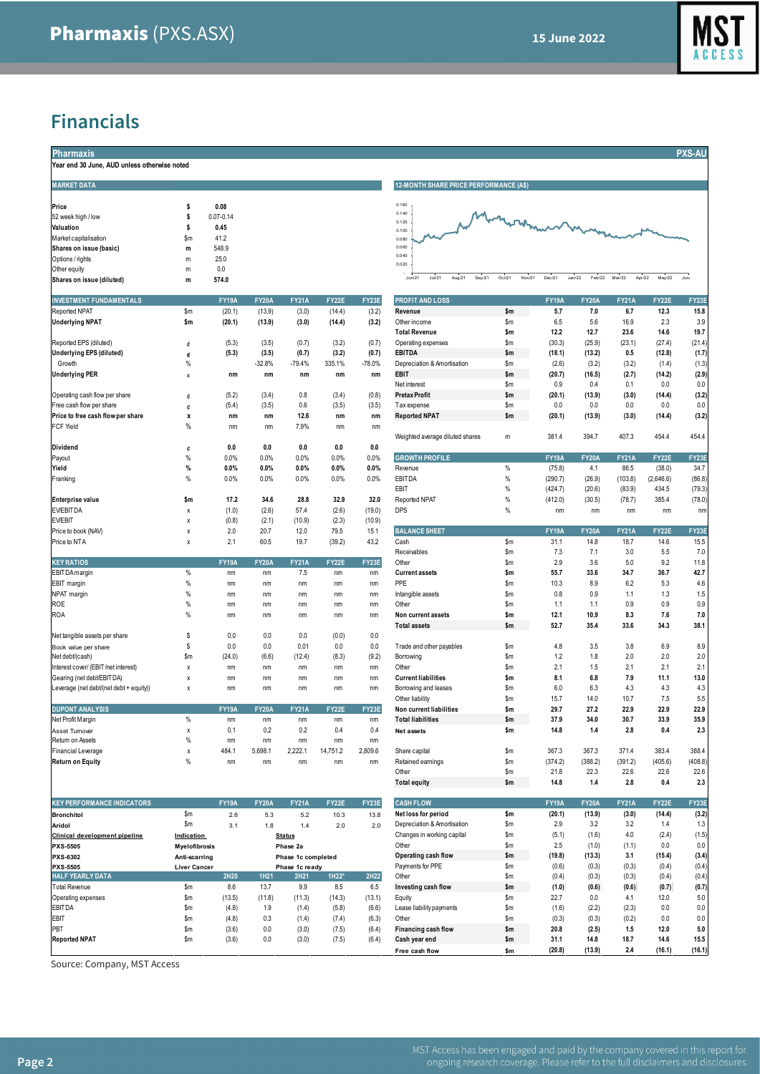

# **Financials**

| <b>Pharmaxis</b>                             |  |
|----------------------------------------------|--|
| Year end 30 June. AUD unless otherwise noted |  |

| real end ou June, AUD unless otherwise hoted |     |               |              |              |              |       |
|----------------------------------------------|-----|---------------|--------------|--------------|--------------|-------|
| <b>MARKET DATA</b>                           |     |               |              |              |              |       |
| Price                                        | \$  | 0.08          |              |              |              |       |
| 52 week high / low                           | \$  | $0.07 - 0.14$ |              |              |              |       |
| Valuation                                    | \$  | 0.45          |              |              |              |       |
| Market capitalisation                        | \$m | 41.2          |              |              |              |       |
| Shares on issue (basic)                      | m   | 548.9         |              |              |              |       |
| Options / rights                             | m   | 25.0          |              |              |              |       |
| Other equity                                 | m   | 0.0           |              |              |              |       |
| Shares on issue (diluted)                    | m   | 574.0         |              |              |              |       |
| <b>INVESTMENT FUNDAMENTALS</b>               |     | <b>FY19A</b>  | <b>FY20A</b> | <b>FY21A</b> | <b>FY22E</b> | FY23E |

| Reported NPAT                           | \$m           | (20.1)       | (13.9)       | (3.0)        | (14.4)       | (3.2)    | Revenue                         | \$m   | 5.7          | 7.0          | 6.7          | 12.3      | 15.8         |
|-----------------------------------------|---------------|--------------|--------------|--------------|--------------|----------|---------------------------------|-------|--------------|--------------|--------------|-----------|--------------|
| <b>Underlying NPAT</b>                  | \$m           | (20.1)       | (13.9)       | (3.0)        | (14.4)       | (3.2)    | Other income                    | \$m   | 6.5          | 5.6          | 16.9         | 2.3       | 3.9          |
|                                         |               |              |              |              |              |          | <b>Total Revenue</b>            | \$m   | 12.2         | 12.7         | 23.6         | 14.6      | 19.7         |
| Reported EPS (diluted)                  | ¢             | (5.3)        | (3.5)        | (0.7)        | (3.2)        | (0.7)    | Operating expenses              | \$m   | (30.3)       | (25.9)       | (23.1)       | (27.4)    | (21.4)       |
| <b>Underlying EPS (diluted)</b>         | ¢             | (5.3)        | (3.5)        | (0.7)        | (3.2)        | (0.7)    | <b>EBITDA</b>                   | \$m   | (18.1)       | (13.2)       | 0.5          | (12.8)    | (1.7)        |
| Growth                                  | $\%$          |              | $-32.8%$     | $-79.4%$     | 335.1%       | $-78.0%$ | Depreciation & Amortisation     | \$m   | (2.6)        | (3.2)        | (3.2)        | (1.4)     | (1.3)        |
| <b>Underlying PER</b>                   | x             | nm           | nm           | nm           | nm           | nm       | <b>EBIT</b>                     | \$m   | (20.7)       | (16.5)       | (2.7)        | (14.2)    | (2.9)        |
|                                         |               |              |              |              |              |          | Net interest                    | \$m   | 0.9          | 0.4          | 0.1          | 0.0       | 0.0          |
| Operating cash flow per share           | ¢             | (5.2)        | (3.4)        | 0.8          | (3.4)        | (0.8)    | <b>Pretax Profit</b>            | \$m   | (20.1)       | (13.9)       | (3.0)        | (14.4)    | (3.2)        |
| Free cash flow per share                | ¢             | (5.4)        | (3.5)        | 0.6          | (3.5)        | (3.5)    | Tax expense                     | \$m\$ | 0.0          | 0.0          | 0.0          | 0.0       | 0.0          |
| Price to free cash flow per share       | x             | nm           | nm           | 12.6         | nm           | nm       | <b>Reported NPAT</b>            | \$m   | (20.1)       | (13.9)       | (3.0)        | (14.4)    | (3.2)        |
| <b>FCF Yield</b>                        | $\%$          | nm           | nm           | 7.9%         | nm           | nm       |                                 |       |              |              |              |           |              |
|                                         |               |              |              |              |              |          | Weighted average diluted shares | m     | 381.4        | 394.7        | 407.3        | 454.4     | 454.4        |
| Dividend                                | ¢             | 0.0          | 0.0          | 0.0          | 0.0          | 0.0      |                                 |       |              |              |              |           |              |
| Payout                                  | $\%$          | 0.0%         | 0.0%         | 0.0%         | 0.0%         | 0.0%     | <b>GROWTH PROFILE</b>           |       | <b>FY19A</b> | <b>FY20A</b> | <b>FY21A</b> | FY22E     | <b>FY23E</b> |
| Yield                                   | %             | 0.0%         | 0.0%         | 0.0%         | 0.0%         | 0.0%     | Revenue                         | $\%$  | (75.8)       | 4.1          | 86.5         | (38.0)    | 34.7         |
| Franking                                | $\%$          | 0.0%         | 0.0%         | 0.0%         | 0.0%         | 0.0%     | <b>EBITDA</b>                   | $\%$  | (290.7)      | (26.9)       | (103.8)      | (2,646.6) | (86.8)       |
|                                         |               |              |              |              |              |          | EBIT                            | $\%$  | (424.7)      | (20.6)       | (83.9)       | 434.5     | (79.3)       |
| <b>Enterprise value</b>                 | \$m           | 17.2         | 34.6         | 28.8         | 32.9         | 32.0     | Reported NPAT                   | $\%$  | (412.0)      | (30.5)       | (78.7)       | 385.4     | (78.0)       |
| <b>EV/EBITDA</b>                        | x             | (1.0)        | (2.6)        | 57.4         | (2.6)        | (19.0)   | <b>DPS</b>                      | $\%$  | nm           | nm           | nm           | nm        | nm           |
| <b>EV/EBIT</b>                          | x             | (0.8)        | (2.1)        | (10.9)       | (2.3)        | (10.9)   |                                 |       |              |              |              |           |              |
| Price to book (NAV)                     | x             | 2.0          | 20.7         | 12.0         | 79.5         | 15.1     | <b>BALANCE SHEET</b>            |       | <b>FY19A</b> | <b>FY20A</b> | <b>FY21A</b> | FY22E     | <b>FY23E</b> |
| Price to NTA                            | X             | 2.1          | 60.5         | 19.7         | (39.2)       | 43.2     | Cash                            | \$m   | 31.1         | 14.8         | 18.7         | 14.6      | 15.5         |
|                                         |               |              |              |              |              |          | Receivables                     | \$m   | 7.3          | 7.1          | 3.0          | 5.5       | 7.0          |
| <b>KEY RATIOS</b>                       |               | <b>FY19A</b> | <b>FY20A</b> | <b>FY21A</b> | <b>FY22E</b> | FY23E    | Other                           | \$m   | 2.9          | 3.6          | 5.0          | 9.2       | 11.8         |
| <b>EBITDA</b> margin                    | %             | nm           | nm           | 7.5          | nm           | nm       | <b>Current assets</b>           | \$m   | 55.7         | 33.6         | 34.7         | 36.7      | 42.7         |
| EBIT margin                             | %             | nm           | nm           | nm           | nm           | nm       | PPE                             | \$m   | 10.3         | 8.9          | 6.2          | 5.3       | 4.6          |
| NPAT margin                             | $\%$          | nm           | nm           | nm           | nm           | nm       | Intangible assets               | \$m   | 0.8          | 0.9          | 1.1          | 1.3       | 1.5          |
| ROE                                     | $\%$          | nm           | nm           | nm           | nm           | nm       | Other                           | \$m   | 1.1          | 1.1          | 0.9          | 0.9       | 0.9          |
| <b>ROA</b>                              | %             | nm           | nm           | nm           | nm           | nm       | Non current assets              | \$m   | 12.1         | 10.9         | 8.3          | 7.6       | 7.0          |
|                                         |               |              |              |              |              |          | <b>Total assets</b>             | \$m   | 52.7         | 35.4         | 33.6         | 34.3      | 38.1         |
| Net tangible assets per share           | \$            | 0.0          | 0.0          | 0.0          | (0.0)        | 0.0      |                                 |       |              |              |              |           |              |
| Book value per share                    | \$            | 0.0          | 0.0          | 0.01         | 0.0          | 0.0      | Trade and other payables        | \$m   | 4.8          | 3.5          | 3.8          | 6.9       | 8.9          |
| Net debt/(cash)                         | $\mathsf{Sm}$ | (24.0)       | (6.6)        | (12.4)       | (8.3)        | (9.2)    | Borrowing                       | \$m   | 1.2          | 1.8          | 2.0          | 2.0       | 2.0          |
| Interest cover/ (EBIT/net interest)     | X             | nm           | nm           | nm           | nm           | nm       | Other                           | \$m   | 2.1          | 1.5          | 2.1          | 2.1       | 2.1          |
| Gearing (net debt/EBIT DA)              | $\mathsf{x}$  | nm           | nm           | nm           | nm           | nm       | <b>Current liabilities</b>      | \$m   | 8.1          | 6.8          | 7.9          | 11.1      | 13.0         |
| Leverage (net debt/(net debt + equity)) | x             | nm           | nm           | nm           | nm           | nm       | Borrowing and leases            | \$m   | 6.0          | 6.3          | 4.3          | 4.3       | 4.3          |
|                                         |               |              |              |              |              |          | Other liability                 | \$m   | 15.7         | 14.0         | 10.7         | 7.5       | 5.5          |
| <b>DUPONT ANALYSIS</b>                  |               | <b>FY19A</b> | <b>FY20A</b> | <b>FY21A</b> | <b>FY22E</b> | FY23E    | Non current liabilities         | \$m   | 29.7         | 27.2         | 22.9         | 22.9      | 22.9         |
| Net Profit Margin                       | %             | nm           | nm           | nm           | nm           | nm       | <b>Total liabilities</b>        | \$m   | 37.9         | 34.0         | 30.7         | 33.9      | 35.9         |
| Asset Turnover                          | x             | 0.1          | 0.2          | 0.2          | 0.4          | 0.4      | <b>Net assets</b>               | \$m   | 14.8         | 1.4          | 2.8          | 0.4       | 2.3          |
| Return on Assets                        | %             | nm           | nm           | nm           | nm           | nm       |                                 |       |              |              |              |           |              |

| <b>KEY PERFORMANCE INDICATORS</b> |                      | <b>FY19A</b> | <b>FY20A</b> | <b>FY21A</b>       | <b>FY22E</b> | FY23E  | <b>CASH FLOW</b>            |     | <b>FY19A</b> | <b>FY20A</b> | <b>FY21A</b> | FY22E  | FY23E |
|-----------------------------------|----------------------|--------------|--------------|--------------------|--------------|--------|-----------------------------|-----|--------------|--------------|--------------|--------|-------|
| <b>Bronchitol</b>                 | \$m\$                | 2.6          | 5.3          | 5.2                | 10.3         | 13.8   | Net loss for period         | \$m | (20.1)       | (13.9)       | (3.0)        | (14.4) | (3.2) |
| Aridol                            | \$m                  | 3.1          | 1.8          | 1.4                | 2.0          | 2.0    | Depreciation & Amortisation | \$m | 2.9          | 3.2          | 3.2          | 1.4    | 1.3   |
| Clinical development pipeline     | Indication           |              |              | <b>Status</b>      |              |        | Changes in working capital  | \$m | (5.1)        | (1.6)        | 4.0          | (2.4)  | (1.5) |
| <b>PXS-5505</b>                   | <b>Mvelofibrosis</b> |              |              | Phase 2a           |              |        | Other                       | \$m | 2.5          | (1.0)        | (1.1)        | 0.0    | 0.0   |
| PXS-6302                          | Anti-scarring        |              |              | Phase 1c completed |              |        | Operating cash flow         | \$m | (19.8)       | (13.3)       | 3.1          | (15.4) | (3.4) |
| <b>PXS-5505</b>                   | <b>Liver Cancer</b>  |              |              | Phase 1c ready     |              |        | Payments for PPE            | \$m | (0.6)        | (0.3)        | (0.3)        | (0.4)  | (0.4) |
| <b>HALF YEARLY DATA</b>           |                      | 2H20         | <b>1H21</b>  | 2H21               | 1H22*        | 2H22   | Other                       | \$m | (0.4)        | (0.3)        | (0.3)        | (0.4)  | (0.4) |
| Total Revenue                     | \$m                  | 8.6          | 13.7         | 9.9                | 8.5          | 6.5    | Investing cash flow         | \$m | (1.0)        | (0.6)        | (0.6)        | (0.7)  | (0.7) |
| Operating expenses                | \$m                  | (13.5)       | (11.8)       | (11.3)             | (14.3)       | (13.1) | Equity                      | \$m | 22.7         | 0.0          | 4.1          | 12.0   | 5.0   |
| <b>EBITDA</b>                     | \$m                  | (4.8)        | 1.9          | (1.4)              | (5.8)        | (6.6)  | Lease liability payments    | \$m | (1.6)        | (2.2)        | (2.3)        | 0.0    | 0.0   |
| EBIT                              | \$m                  | (4.8)        | 0.3          | (1.4)              | (7.4)        | (6.3)  | Other                       | \$m | (0.3)        | (0.3)        | (0.2)        | 0.0    | 0.0   |
| PBT                               | \$m                  | (3.6)        | 0.0          | (3.0)              | (7.5)        | (6.4)  | Financing cash flow         | \$m | 20.8         | (2.5)        | 1.5          | 12.0   | 5.0   |
| <b>Reported NPAT</b>              | \$m                  | (3.6)        | 0.0          | (3.0)              | (7.5)        | (6.4)  | Cash year end               | \$m | 31.1         | 14.8         | 18.7         | 14.6   | 15.5  |
|                                   |                      |              |              |                    |              |        |                             |     |              |              |              |        |       |

Source: Company, MST Access



| <b>INVESTMENT FUNDAMENTALS</b>          |                      | <b>FY19A</b> | <b>FY20A</b> | <b>FY21A</b>       | FY22E          | FY23E    | <b>PROFIT AND LOSS</b>                  |            | <b>FY19A</b>       | <b>FY20A</b>     | <b>FY21A</b> | FY22E              | FY23E        |
|-----------------------------------------|----------------------|--------------|--------------|--------------------|----------------|----------|-----------------------------------------|------------|--------------------|------------------|--------------|--------------------|--------------|
| Reported NPAT                           | \$m                  | (20.1)       | (13.9)       | (3.0)              | (14.4)         | (3.2)    | Revenue                                 | \$m        | 5.7                | 7.0              | 6.7          | 12.3               | 15.8         |
| <b>Underlying NPAT</b>                  | \$m                  | (20.1)       | (13.9)       | (3.0)              | (14.4)         | (3.2)    | Other income                            | \$m        | 6.5                | 5.6              | 16.9         | 2.3                | 3.9          |
|                                         |                      |              |              |                    |                |          | <b>Total Revenue</b>                    | \$m        | 12.2               | 12.7             | 23.6         | 14.6               | 19.7         |
| Reported EPS (diluted)                  | ¢                    | (5.3)        | (3.5)        | (0.7)              | (3.2)          | (0.7)    | Operating expenses                      | \$m        | (30.3)             | (25.9)           | (23.1)       | (27.4)             | (21.4)       |
| Underlying EPS (diluted)                | ¢                    | (5.3)        | (3.5)        | (0.7)              | (3.2)          | (0.7)    | <b>EBITDA</b>                           | \$m        | (18.1)             | (13.2)           | 0.5          | (12.8)             | (1.7)        |
| Growth                                  | %                    |              | $-32.8%$     | $-79.4%$           | 335.1%         | $-78.0%$ | Depreciation & Amortisation             | \$m        | (2.6)              | (3.2)            | (3.2)        | (1.4)              | (1.3)        |
| Underlying PER                          | x                    | nm           | nm           | nm                 | nm             | nm       | <b>EBIT</b>                             | \$m        | (20.7)             | (16.5)           | (2.7)        | (14.2)             | (2.9)        |
|                                         |                      |              |              |                    |                |          | Net interest                            | \$m        | 0.9                | 0.4              | 0.1          | 0.0                | 0.0          |
| Operating cash flow per share           | ¢                    | (5.2)        | (3.4)        | 0.8                | (3.4)          | (0.8)    | <b>Pretax Profit</b>                    | \$m        | (20.1)             | (13.9)           | (3.0)        | (14.4)             | (3.2)        |
| Free cash flow per share                |                      | (5.4)        | (3.5)        | 0.6                | (3.5)          | (3.5)    | Tax expense                             | \$m        | 0.0                | 0.0              | 0.0          | 0.0                | 0.0          |
| Price to free cash flow per share       | x                    | nm           | nm           | 12.6               | nm             | nm       | <b>Reported NPAT</b>                    | \$m        | (20.1)             | (13.9)           | (3.0)        | (14.4)             | (3.2)        |
| FCF Yield                               | %                    | nm           | nm           | 7.9%               | nm             | nm       | Weighted average diluted shares         |            |                    |                  | 407.3        |                    |              |
|                                         |                      | 0.0          | 0.0          | 0.0                | 0.0            | 0.0      |                                         | m          | 381.4              | 394.7            |              | 454.4              | 454.4        |
| Dividend                                | ¢<br>%               | 0.0%         | 0.0%         | 0.0%               | 0.0%           | 0.0%     | <b>GROWTH PROFILE</b>                   |            | <b>FY19A</b>       | <b>FY20A</b>     | <b>FY21A</b> | FY22E              | FY23E        |
| Payout<br>Yield                         | %                    | 0.0%         | 0.0%         | 0.0%               | 0.0%           | 0.0%     | Revenue                                 | %          | (75.8)             | 4.1              | 86.5         | (38.0)             | 34.7         |
| Franking                                | %                    | 0.0%         | 0.0%         | 0.0%               | 0.0%           | 0.0%     | <b>EBITDA</b>                           | $\%$       |                    |                  | (103.8)      |                    | (86.8)       |
|                                         |                      |              |              |                    |                |          | EBIT                                    | $\%$       | (290.7)<br>(424.7) | (26.9)<br>(20.6) | (83.9)       | (2,646.6)<br>434.5 | (79.3)       |
| Enterprise value                        | \$m                  | 17.2         | 34.6         | 28.8               | 32.9           | 32.0     | <b>Reported NPAT</b>                    | $\%$       | (412.0)            | (30.5)           | (78.7)       | 385.4              | (78.0)       |
| EV/EBITDA                               | χ                    | (1.0)        | (2.6)        | 57.4               | (2.6)          | (19.0)   | DPS                                     | %          | nm                 | nm               | nm           | nm                 | nm           |
| EV/EBIT                                 | X                    | (0.8)        | (2.1)        | (10.9)             | (2.3)          | (10.9)   |                                         |            |                    |                  |              |                    |              |
| Price to book (NAV)                     | X                    | 2.0          | 20.7         | 12.0               | 79.5           | 15.1     | <b>BALANCE SHEET</b>                    |            | <b>FY19A</b>       | <b>FY20A</b>     | <b>FY21A</b> | FY22E              | FY23E        |
| Price to NTA                            | χ                    | 2.1          | 60.5         | 19.7               | (39.2)         | 43.2     | Cash                                    | \$m        | 31.1               | 14.8             | 18.7         | 14.6               | 15.5         |
|                                         |                      |              |              |                    |                |          | Receivables                             | \$m        | 7.3                | 7.1              | 3.0          | 5.5                | 7.0          |
| <b>KEY RATIOS</b>                       |                      | <b>FY19A</b> | <b>FY20A</b> | <b>FY21A</b>       | FY22E          | FY23E    | Other                                   | \$m        | 2.9                | 3.6              | 5.0          | 9.2                | 11.8         |
| EBIT DA margin                          | $\%$                 | nm           | nm           | 7.5                | nm             | nm       | <b>Current assets</b>                   | \$m        | 55.7               | 33.6             | 34.7         | 36.7               | 42.7         |
| EBIT margin                             | $\%$                 | nm           | nm           | nm                 | nm             | nm       | PPE                                     | \$m        | 10.3               | 8.9              | 6.2          | 5.3                | 4.6          |
| NPAT margin                             | %                    | nm           | nm           | nm                 | nm             | nm       | Intangible assets                       | \$m        | 0.8                | 0.9              | 1.1          | 1.3                | 1.5          |
| ROE                                     | $\%$                 | nm           | nm           | nm                 | nm             | nm       | Other                                   | \$m        | 1.1                | 1.1              | 0.9          | 0.9                | 0.9          |
| ROA                                     | %                    | nm           | nm           | nm                 | nm             | nm       | Non current assets                      | \$m        | 12.1               | 10.9             | 8.3          | 7.6                | 7.0          |
|                                         |                      |              |              |                    |                |          | <b>Total assets</b>                     | \$m        | 52.7               | 35.4             | 33.6         | 34.3               | 38.1         |
| Net tangible assets per share           | \$                   | 0.0          | 0.0          | 0.0                | (0.0)          | 0.0      |                                         |            |                    |                  |              |                    |              |
| Book value per share                    | S                    | 0.0          | 0.0          | 0.01               | 0.0            | 0.0      | Trade and other payables                | \$m        | 4.8                | 3.5              | 3.8          | 6.9                | 8.9          |
| Net debt/(cash)                         | \$m                  | (24.0)       | (6.6)        | (12.4)             | (8.3)          | (9.2)    | Borrowing                               | \$m        | 1.2                | 1.8              | 2.0          | 2.0                | 2.0          |
| Interest cover/ (EBIT/net interest)     | X                    | nm           | nm           | nm                 | nm             | nm       | Other                                   | \$m        | 2.1                | 1.5              | 2.1          | 2.1                | 2.1          |
| Gearing (net debt/EBITDA)               | X                    | nm           | nm           | nm                 | nm             | nm       | <b>Current liabilities</b>              | \$m        | 8.1                | 6.8              | 7.9          | 11.1               | 13.0         |
| Leverage (net debt/(net debt + equity)) | X                    | nm           | nm           | nm                 | nm             | nm       | Borrowing and leases                    | \$m        | 6.0                | 6.3              | 4.3          | 4.3                | 4.3          |
|                                         |                      |              |              |                    |                |          | Other liability                         | \$m        | 15.7               | 14.0             | 10.7         | 7.5                | 5.5          |
| <b>DUPONT ANALYSIS</b>                  |                      | <b>FY19A</b> | <b>FY20A</b> | <b>FY21A</b>       | FY22E          | FY23E    | Non current liabilities                 | \$m        | 29.7               | 27.2             | 22.9         | 22.9               | 22.9         |
| Net Profit Margin                       | $\%$                 | nm           | nm           | nm                 | nm             | nm       | <b>Total liabilities</b>                | \$m        | 37.9               | 34.0             | 30.7         | 33.9               | 35.9         |
| Asset Turnover                          | χ                    | 0.1          | 0.2          | 0.2                | 0.4            | 0.4      | Net assets                              | \$m        | 14.8               | 1.4              | 2.8          | 0.4                | 2.3          |
| Return on Assets                        | $\%$                 | nm           | nm           | nm                 | nm             | nm       |                                         |            |                    |                  |              |                    |              |
| Financial Leverage                      | χ                    | 484.1        | 5,698.1      | 2,222.1            | 14,751.2       | 2,809.6  | Share capital                           | \$m        | 367.3              | 367.3            | 371.4        | 383.4              | 388.4        |
| Return on Equity                        | %                    | nm           | nm           | nm                 | nm             | nm       | Retained earnings                       | \$m        | (374.2)            | (388.2)          | (391.2)      | (405.6)            | (408.8)      |
|                                         |                      |              |              |                    |                |          | Other                                   | \$m        | 21.8               | 22.3             | 22.6         | 22.6               | 22.6         |
|                                         |                      |              |              |                    |                |          | <b>Total equity</b>                     | \$m        | 14.8               | 1.4              | 2.8          | 0.4                | 2.3          |
| <b>KEY PERFORMANCE INDICATORS</b>       |                      | <b>FY19A</b> | <b>FY20A</b> | <b>FY21A</b>       | FY22E          | FY23E    | <b>CASH FLOW</b>                        |            | <b>FY19A</b>       | <b>FY20A</b>     | <b>FY21A</b> | FY22E              | FY23E        |
|                                         |                      |              |              |                    |                |          |                                         |            |                    |                  |              |                    |              |
| Bronchitol                              | \$m<br>\$m           | 2.6          | 5.3          | 5.2                | 10.3           | 13.8     | Net loss for period                     | \$m        | (20.1)<br>2.9      | (13.9)<br>3.2    | (3.0)<br>3.2 | (14.4)             | (3.2)        |
| Aridol                                  |                      | 3.1          | 1.8          | 1.4                | 2.0            | 2.0      | Depreciation & Amortisation             | \$m<br>\$m |                    |                  | 4.0          | 1.4                | 1.3          |
| Clinical development pipeline           | <b>Indication</b>    |              |              | <b>Status</b>      |                |          | Changes in working capital<br>Other     |            | (5.1)<br>2.5       | (1.6)<br>(1.0)   |              | (2.4)              | (1.5)<br>0.0 |
| <b>PXS-5505</b>                         | <b>Myelofibrosis</b> |              |              | Phase 2a           |                |          |                                         | \$m<br>\$m |                    |                  | (1.1)        | 0.0                |              |
| PXS-6302                                | Anti-scarring        |              |              | Phase 1c completed |                |          | Operating cash flow<br>Payments for PPE |            | (19.8)             | (13.3)           | 3.1          | (15.4)             | (3.4)        |
| <b>PXS-5505</b>                         | <b>Liver Cancer</b>  |              |              | Phase 1c ready     | 1H22*          | 2H22     |                                         | \$m        | (0.6)              | (0.3)            | (0.3)        | (0.4)              | (0.4)        |
| HALF YEARLY DATA                        |                      | 2H20         | 1H21         | 2H21               |                |          | Other                                   | \$m        | (0.4)              | (0.3)            | (0.3)        | (0.4)              | (0.4)        |
| Total Revenue                           | \$m                  | 8.6          | 13.7         | 9.9                | 8.5            | 6.5      | Investing cash flow                     | \$m        | (1.0)              | (0.6)            | (0.6)        | (0.7)              | (0.7)        |
| Operating expenses                      | \$m                  | (13.5)       | (11.8)       | (11.3)             | (14.3)         | (13.1)   | Equity                                  | \$m        | 22.7               | 0.0              | 4.1          | 12.0               | 5.0          |
| EBITDA                                  | \$m                  | (4.8)        | 1.9          | (1.4)              | (5.8)          | (6.6)    | Lease liability payments<br>Other       | \$m        | (1.6)              | (2.2)            | (2.3)        | 0.0                | 0.0          |
| EBIT                                    | \$m                  | (4.8)        | 0.3          | (1.4)              | (7.4)          | (6.3)    |                                         | \$m        | (0.3)              | (0.3)            | (0.2)        | 0.0                | 0.0          |
| PBT<br><b>Reported NPAT</b>             | \$m<br>\$m           | (3.6)        | 0.0<br>0.0   | (3.0)<br>(3.0)     | (7.5)<br>(7.5) | (6.4)    | Financing cash flow<br>Cash year end    | \$m<br>\$m | 20.8<br>31.1       | (2.5)<br>14.8    | 1.5<br>18.7  | 12.0<br>14.6       | 5.0          |
|                                         |                      | (3.6)        |              |                    |                | (6.4)    |                                         |            |                    |                  |              |                    | 15.5         |
|                                         |                      |              |              |                    |                |          | Free cash flow                          | \$m        | (20.8)             | (13.9)           | 2.4          | (16.1)             | (16.1)       |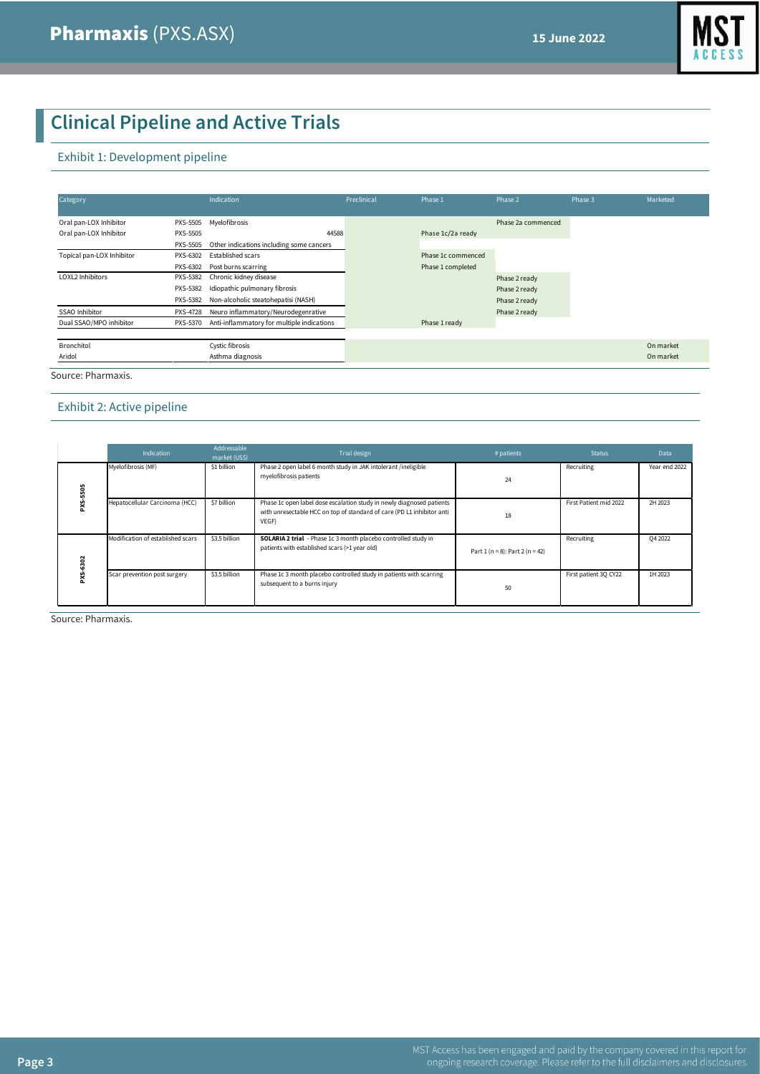

# **Clinical Pipeline and Active Trials**

#### Exhibit 1: Development pipeline

| Category                  |                 | Indication                                 | Preclinical | Phase 1            | Phase 2            | Phase 3 | Marketed  |
|---------------------------|-----------------|--------------------------------------------|-------------|--------------------|--------------------|---------|-----------|
| Oral pan-LOX Inhibitor    | PXS-5505        | Myelofibrosis                              |             |                    | Phase 2a commenced |         |           |
| Oral pan-LOX Inhibitor    | PXS-5505        | 44588                                      |             | Phase 1c/2a ready  |                    |         |           |
|                           | PXS-5505        | Other indications including some cancers   |             |                    |                    |         |           |
| Topical pan-LOX Inhibitor | PXS-6302        | Established scars                          |             | Phase 1c commenced |                    |         |           |
|                           | PXS-6302        | Post burns scarring                        |             | Phase 1 completed  |                    |         |           |
| LOXL2 Inhibitors          | PXS-5382        | Chronic kidney disease                     |             |                    | Phase 2 ready      |         |           |
|                           | PXS-5382        | Idiopathic pulmonary fibrosis              |             |                    | Phase 2 ready      |         |           |
|                           | <b>PXS-5382</b> | Non-alcoholic steatohepatisi (NASH)        |             |                    | Phase 2 ready      |         |           |
| SSAO Inhibitor            | <b>PXS-4728</b> | Neuro inflammatory/Neurodegenrative        |             |                    | Phase 2 ready      |         |           |
| Dual SSAO/MPO inhibitor   | PXS-5370        | Anti-inflammatory for multiple indications |             | Phase 1 ready      |                    |         |           |
|                           |                 |                                            |             |                    |                    |         |           |
| Bronchitol                |                 | Cystic fibrosis                            |             |                    |                    |         | On market |
| Aridol                    |                 | Asthma diagnosis                           |             |                    |                    |         | On market |
| $-1$                      |                 |                                            |             |                    |                    |         |           |

Source: Pharmaxis.

#### Exhibit 2: Active pipeline

|     | <b>Indication</b>                 | Addressable<br>market (US\$) | Trial design                                                                                                                                             | # patients                         | <b>Status</b>          | <b>Data</b>   |
|-----|-----------------------------------|------------------------------|----------------------------------------------------------------------------------------------------------------------------------------------------------|------------------------------------|------------------------|---------------|
| 505 | Myelofibrosis (MF)                | \$1 billion                  | Phase 2 open label 6 month study in JAK intolerant /ineligible<br>myelofibrosis patients                                                                 | 24                                 | Recruiting             | Year end 2022 |
|     | Hepatocellular Carcinoma (HCC)    | \$7 billion                  | Phase 1c open label dose escalation study in newly diagnosed patients<br>with unresectable HCC on top of standard of care (PD L1 inhibitor anti<br>VEGF) | 18                                 | First Patient mid 2022 | 2H 2023       |
| 302 | Modification of established scars | \$3.5 billion                | <b>SOLARIA 2 trial</b> - Phase 1c 3 month placebo controlled study in<br>patients with established scars (>1 year old)                                   | Part $1(n = 8)$ : Part $2(n = 42)$ | Recruiting             | Q4 2022       |
|     | Scar prevention post surgery      | \$3.5 billion                | Phase 1c 3 month placebo controlled study in patients with scarring<br>subsequent to a burns injury                                                      | 50                                 | First patient 30 CY22  | 1H 2023       |

Source: Pharmaxis.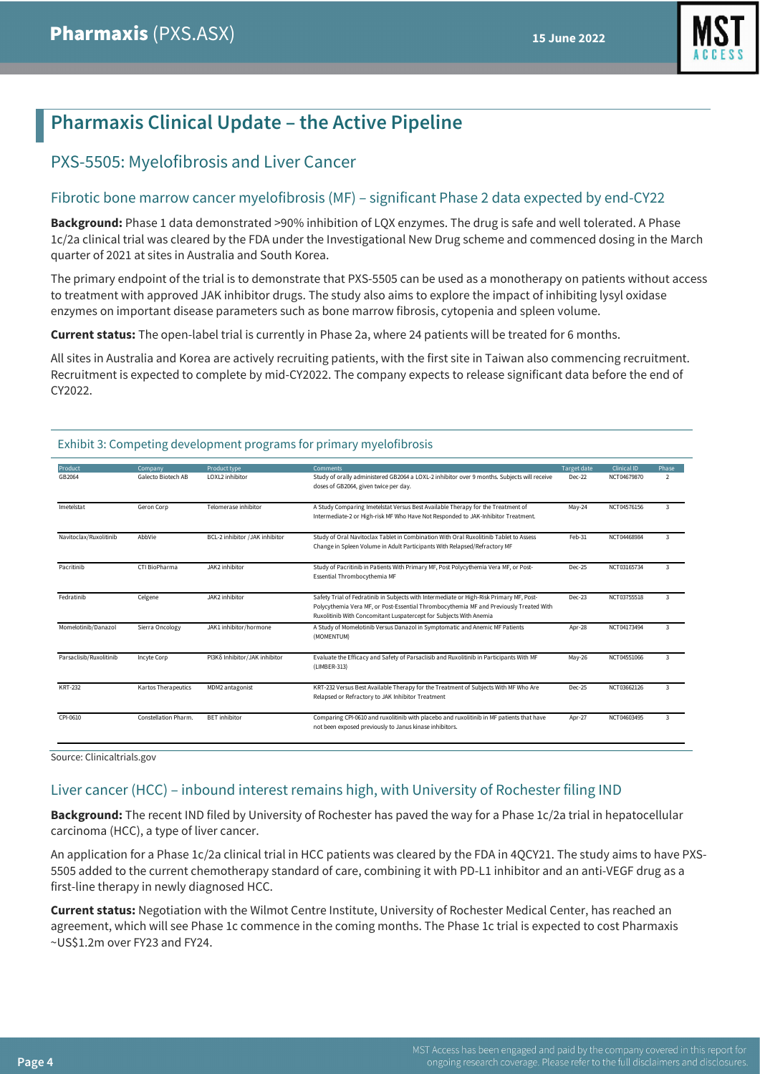

# **Pharmaxis Clinical Update – the Active Pipeline**

# PXS-5505: Myelofibrosis and Liver Cancer

### Fibrotic bone marrow cancer myelofibrosis (MF) – significant Phase 2 data expected by end-CY22

**Background:** Phase 1 data demonstrated >90% inhibition of LQX enzymes. The drug is safe and well tolerated. A Phase 1c/2a clinical trial was cleared by the FDA under the Investigational New Drug scheme and commenced dosing in the March quarter of 2021 at sites in Australia and South Korea.

The primary endpoint of the trial is to demonstrate that PXS-5505 can be used as a monotherapy on patients without access to treatment with approved JAK inhibitor drugs. The study also aims to explore the impact of inhibiting lysyl oxidase enzymes on important disease parameters such as bone marrow fibrosis, cytopenia and spleen volume.

**Current status:** The open-label trial is currently in Phase 2a, where 24 patients will be treated for 6 months.

All sites in Australia and Korea are actively recruiting patients, with the first site in Taiwan also commencing recruitment. Recruitment is expected to complete by mid-CY2022. The company expects to release significant data before the end of CY2022.

| Product<br>GB2064       | Company<br>Galecto Biotech AB | Product type<br>LOXL2 inhibitor | <b>Comments</b><br>Study of orally administered GB2064 a LOXL-2 inhibitor over 9 months. Subjects will receive<br>doses of GB2064, given twice per day.                                                                                                 | Target date<br>Dec-22 | <b>Clinical ID</b><br>NCT04679870 | Phase<br>$\overline{2}$ |
|-------------------------|-------------------------------|---------------------------------|---------------------------------------------------------------------------------------------------------------------------------------------------------------------------------------------------------------------------------------------------------|-----------------------|-----------------------------------|-------------------------|
| Imetelstat              | Geron Corp                    | Telomerase inhibitor            | A Study Comparing Imetelstat Versus Best Available Therapy for the Treatment of<br>Intermediate-2 or High-risk MF Who Have Not Responded to JAK-Inhibitor Treatment.                                                                                    | $Mav-24$              | NCT04576156                       | 3                       |
| Navitoclax/Ruxolitinib  | AbbVie                        | BCL-2 inhibitor /JAK inhibitor  | Study of Oral Navitoclax Tablet in Combination With Oral Ruxolitinib Tablet to Assess<br>Change in Spleen Volume in Adult Participants With Relapsed/Refractory MF                                                                                      | Feb-31                | NCT04468984                       | 3                       |
| Pacritinib              | CTI BioPharma                 | JAK2 inhibitor                  | Study of Pacritinib in Patients With Primary MF, Post Polycythemia Vera MF, or Post-<br>Essential Thrombocythemia MF                                                                                                                                    | Dec-25                | NCT03165734                       | 3                       |
| Fedratinib              | Celgene                       | JAK2 inhibitor                  | Safety Trial of Fedratinib in Subjects with Intermediate or High-Risk Primary MF, Post-<br>Polycythemia Vera MF, or Post-Essential Thrombocythemia MF and Previously Treated With<br>Ruxolitinib With Concomitant Luspatercept for Subjects With Anemia | Dec-23                | NCT03755518                       | 3                       |
| Momelotinib/Danazol     | Sierra Oncology               | JAK1 inhibitor/hormone          | A Study of Momelotinib Versus Danazol in Symptomatic and Anemic MF Patients<br>(MOMENTUM)                                                                                                                                                               | Apr-28                | NCT04173494                       | 3                       |
| Parsaclisib/Ruxolitinib | Incyte Corp                   | PI3Kδ Inhibitor/JAK inhibitor   | Evaluate the Efficacy and Safety of Parsaclisib and Ruxolitinib in Participants With MF<br>(LIMBER-313)                                                                                                                                                 | $May-26$              | NCT04551066                       | 3                       |
| <b>KRT-232</b>          | Kartos Therapeutics           | MDM2 antagonist                 | KRT-232 Versus Best Available Therapy for the Treatment of Subjects With MF Who Are<br>Relapsed or Refractory to JAK Inhibitor Treatment                                                                                                                | Dec-25                | NCT03662126                       | 3                       |
| CPI-0610                | Constellation Pharm.          | <b>BET</b> inhibitor            | Comparing CPI-0610 and ruxolitinib with placebo and ruxolitinib in MF patients that have<br>not been exposed previously to Janus kinase inhibitors.                                                                                                     | Apr-27                | NCT04603495                       | 3                       |

#### Exhibit 3: Competing development programs for primary myelofibrosis

Source: Clinicaltrials.gov

## Liver cancer (HCC) – inbound interest remains high, with University of Rochester filing IND

**Background:** The recent IND filed by University of Rochester has paved the way for a Phase 1c/2a trial in hepatocellular carcinoma (HCC), a type of liver cancer.

An application for a Phase 1c/2a clinical trial in HCC patients was cleared by the FDA in 4QCY21. The study aims to have PXS-5505 added to the current chemotherapy standard of care, combining it with PD-L1 inhibitor and an anti-VEGF drug as a first-line therapy in newly diagnosed HCC.

**Current status:** Negotiation with the Wilmot Centre Institute, University of Rochester Medical Center, has reached an agreement, which will see Phase 1c commence in the coming months. The Phase 1c trial is expected to cost Pharmaxis ~US\$1.2m over FY23 and FY24.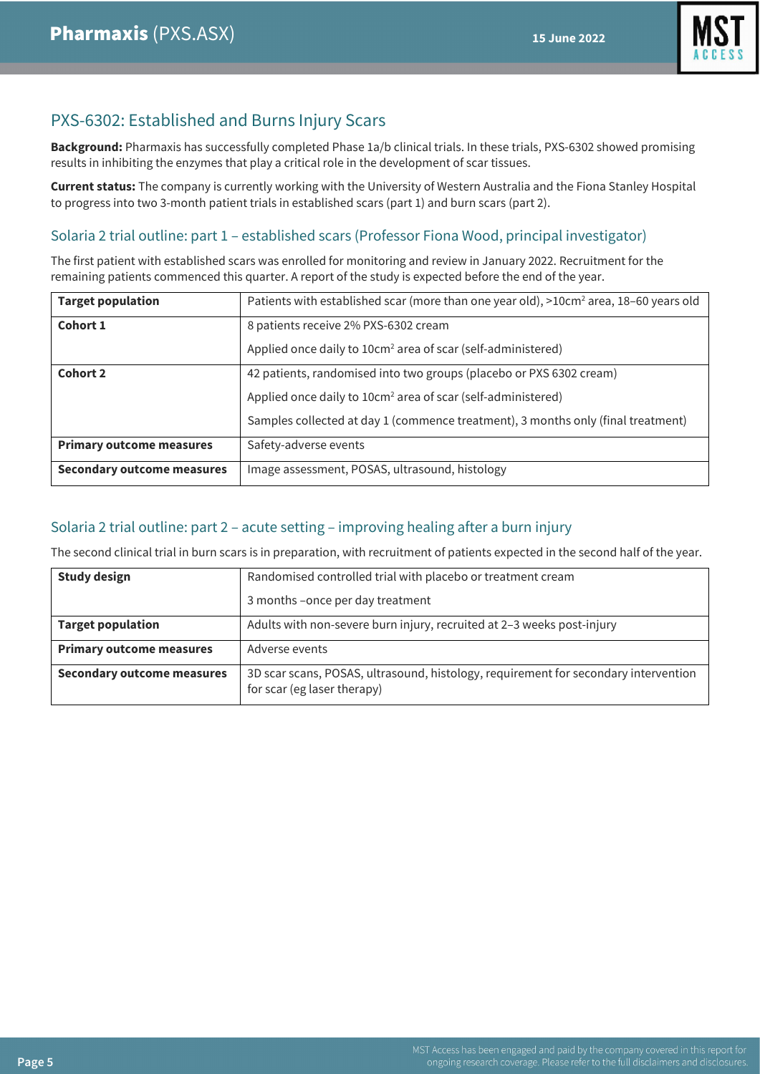

# PXS-6302: Established and Burns Injury Scars

**Background:** Pharmaxis has successfully completed Phase 1a/b clinical trials. In these trials, PXS-6302 showed promising results in inhibiting the enzymes that play a critical role in the development of scar tissues.

**Current status:** The company is currently working with the University of Western Australia and the Fiona Stanley Hospital to progress into two 3-month patient trials in established scars (part 1) and burn scars (part 2).

## Solaria 2 trial outline: part 1 – established scars (Professor Fiona Wood, principal investigator)

The first patient with established scars was enrolled for monitoring and review in January 2022. Recruitment for the remaining patients commenced this quarter. A report of the study is expected before the end of the year.

| <b>Target population</b>          | Patients with established scar (more than one year old), >10cm <sup>2</sup> area, 18-60 years old |
|-----------------------------------|---------------------------------------------------------------------------------------------------|
| Cohort 1                          | 8 patients receive 2% PXS-6302 cream                                                              |
|                                   | Applied once daily to 10cm <sup>2</sup> area of scar (self-administered)                          |
| <b>Cohort 2</b>                   | 42 patients, randomised into two groups (placebo or PXS 6302 cream)                               |
|                                   | Applied once daily to 10cm <sup>2</sup> area of scar (self-administered)                          |
|                                   | Samples collected at day 1 (commence treatment), 3 months only (final treatment)                  |
| <b>Primary outcome measures</b>   | Safety-adverse events                                                                             |
| <b>Secondary outcome measures</b> | Image assessment, POSAS, ultrasound, histology                                                    |

## Solaria 2 trial outline: part 2 – acute setting – improving healing after a burn injury

The second clinical trial in burn scars is in preparation, with recruitment of patients expected in the second half of the year.

| <b>Study design</b>               | Randomised controlled trial with placebo or treatment cream                                                        |
|-----------------------------------|--------------------------------------------------------------------------------------------------------------------|
|                                   | 3 months -once per day treatment                                                                                   |
| <b>Target population</b>          | Adults with non-severe burn injury, recruited at 2-3 weeks post-injury                                             |
| <b>Primary outcome measures</b>   | Adverse events                                                                                                     |
| <b>Secondary outcome measures</b> | 3D scar scans, POSAS, ultrasound, histology, requirement for secondary intervention<br>for scar (eg laser therapy) |